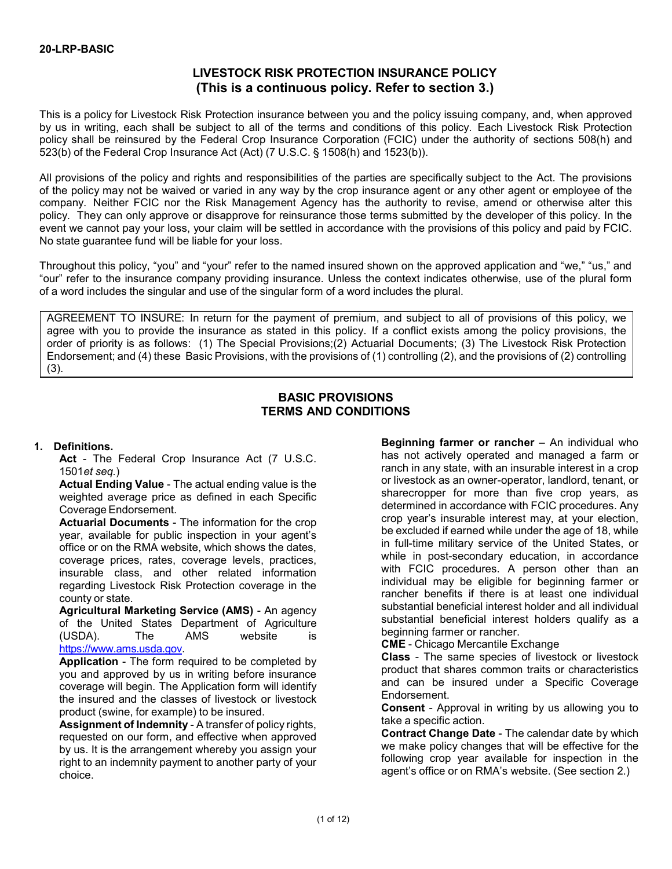# **LIVESTOCK RISK PROTECTION INSURANCE POLICY (This is a continuous policy. Refer to section 3.)**

This is a policy for Livestock Risk Protection insurance between you and the policy issuing company, and, when approved by us in writing, each shall be subject to all of the terms and conditions of this policy. Each Livestock Risk Protection policy shall be reinsured by the Federal Crop Insurance Corporation (FCIC) under the authority of sections 508(h) and 523(b) of the Federal Crop Insurance Act (Act) (7 U.S.C. § 1508(h) and 1523(b)).

All provisions of the policy and rights and responsibilities of the parties are specifically subject to the Act. The provisions of the policy may not be waived or varied in any way by the crop insurance agent or any other agent or employee of the company. Neither FCIC nor the Risk Management Agency has the authority to revise, amend or otherwise alter this policy. They can only approve or disapprove for reinsurance those terms submitted by the developer of this policy. In the event we cannot pay your loss, your claim will be settled in accordance with the provisions of this policy and paid by FCIC. No state guarantee fund will be liable for your loss.

Throughout this policy, "you" and "your" refer to the named insured shown on the approved application and "we," "us," and "our" refer to the insurance company providing insurance. Unless the context indicates otherwise, use of the plural form of a word includes the singular and use of the singular form of a word includes the plural.

AGREEMENT TO INSURE: In return for the payment of premium, and subject to all of provisions of this policy, we agree with you to provide the insurance as stated in this policy. If a conflict exists among the policy provisions, the order of priority is as follows: (1) The Special Provisions;(2) Actuarial Documents; (3) The Livestock Risk Protection Endorsement; and (4) these Basic Provisions, with the provisions of (1) controlling (2), and the provisions of (2) controlling (3).

## **BASIC PROVISIONS TERMS AND CONDITIONS**

## **1. Definitions.**

**Act** - The Federal Crop Insurance Act (7 U.S.C. 1501*et seq.*)

**Actual Ending Value** - The actual ending value is the weighted average price as defined in each Specific Coverage Endorsement.

**Actuarial Documents** - The information for the crop year, available for public inspection in your agent's office or on the RMA website, which shows the dates, coverage prices, rates, coverage levels, practices, insurable class, and other related information regarding Livestock Risk Protection coverage in the county or state.

**Agricultural Marketing Service (AMS)** - An agency of the United States Department of Agriculture<br>(USDA). The AMS website is (USDA). The AMS website is [https://www.ams.usda.gov.](https://www.ams.usda.gov./)

**Application** - The form required to be completed by you and approved by us in writing before insurance coverage will begin. The Application form will identify the insured and the classes of livestock or livestock product (swine, for example) to be insured.

**Assignment of Indemnity** - A transfer of policy rights, requested on our form, and effective when approved by us. It is the arrangement whereby you assign your right to an indemnity payment to another party of your choice.

**Beginning farmer or rancher** – An individual who has not actively operated and managed a farm or ranch in any state, with an insurable interest in a crop or livestock as an owner-operator, landlord, tenant, or sharecropper for more than five crop years, as determined in accordance with FCIC procedures. Any crop year's insurable interest may, at your election, be excluded if earned while under the age of 18, while in full-time military service of the United States, or while in post-secondary education, in accordance with FCIC procedures. A person other than an individual may be eligible for beginning farmer or rancher benefits if there is at least one individual substantial beneficial interest holder and all individual substantial beneficial interest holders qualify as a beginning farmer or rancher.

**CME** - Chicago Mercantile Exchange

**Class** - The same species of livestock or livestock product that shares common traits or characteristics and can be insured under a Specific Coverage Endorsement.

**Consent** - Approval in writing by us allowing you to take a specific action.

**Contract Change Date** - The calendar date by which we make policy changes that will be effective for the following crop year available for inspection in the agent's office or on RMA's website. (See section 2.)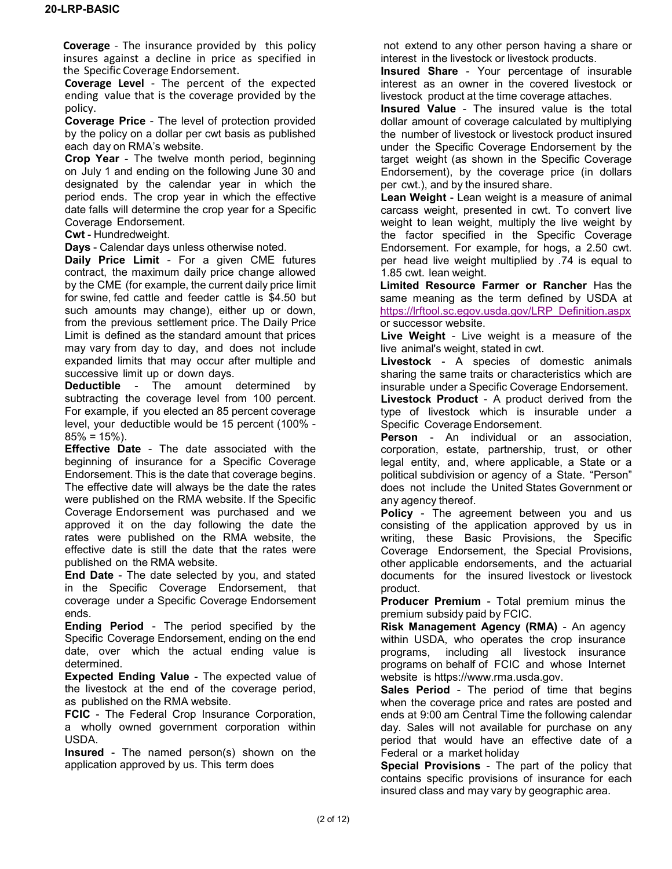**Coverage** - The insurance provided by this policy insures against a decline in price as specified in the Specific Coverage Endorsement.

**Coverage Level** - The percent of the expected ending value that is the coverage provided by the policy.

**Coverage Price** - The level of protection provided by the policy on a dollar per cwt basis as published each day on RMA's website.

**Crop Year** - The twelve month period, beginning on July 1 and ending on the following June 30 and designated by the calendar year in which the period ends. The crop year in which the effective date falls will determine the crop year for a Specific Coverage Endorsement.

**Cwt** - Hundredweight.

**Days** - Calendar days unless otherwise noted.

**Daily Price Limit** - For a given CME futures contract, the maximum daily price change allowed by the CME (for example, the current daily price limit for swine, fed cattle and feeder cattle is \$4.50 but such amounts may change), either up or down, from the previous settlement price. The Daily Price Limit is defined as the standard amount that prices may vary from day to day, and does not include expanded limits that may occur after multiple and successive limit up or down days.

**Deductible** - The amount determined by subtracting the coverage level from 100 percent. For example, if you elected an 85 percent coverage level, your deductible would be 15 percent (100% -  $85\% = 15\%$ ).

**Effective Date** - The date associated with the beginning of insurance for a Specific Coverage Endorsement. This is the date that coverage begins. The effective date will always be the date the rates were published on the RMA website. If the Specific Coverage Endorsement was purchased and we approved it on the day following the date the rates were published on the RMA website, the effective date is still the date that the rates were published on the RMA website.

**End Date** - The date selected by you, and stated in the Specific Coverage Endorsement, that coverage under a Specific Coverage Endorsement ends.

**Ending Period** - The period specified by the Specific Coverage Endorsement, ending on the end date, over which the actual ending value is determined.

**Expected Ending Value** - The expected value of the livestock at the end of the coverage period, as published on the RMA website.

**FCIC** - The Federal Crop Insurance Corporation, a wholly owned government corporation within USDA.

**Insured** - The named person(s) shown on the application approved by us. This term does

not extend to any other person having a share or interest in the livestock or livestock products.

**Insured Share** - Your percentage of insurable interest as an owner in the covered livestock or livestock product at the time coverage attaches.

**Insured Value** - The insured value is the total dollar amount of coverage calculated by multiplying the number of livestock or livestock product insured under the Specific Coverage Endorsement by the target weight (as shown in the Specific Coverage Endorsement), by the coverage price (in dollars per cwt.), and by the insured share.

**Lean Weight** - Lean weight is a measure of animal carcass weight, presented in cwt. To convert live weight to lean weight, multiply the live weight by the factor specified in the Specific Coverage Endorsement. For example, for hogs, a 2.50 cwt. per head live weight multiplied by .74 is equal to 1.85 cwt. lean weight.

**Limited Resource Farmer or Rancher** Has the same meaning as the term defined by USDA at [https://lrftool.sc.egov.usda.gov/LRP\\_Definition.aspx](https://lrftool.sc.egov.usda.gov/LRP_Definition.aspx) or successor website.

**Live Weight** - Live weight is a measure of the live animal's weight, stated in cwt.

**Livestock** - A species of domestic animals sharing the same traits or characteristics which are insurable under a Specific Coverage Endorsement.

**Livestock Product** - A product derived from the type of livestock which is insurable under a Specific Coverage Endorsement.

**Person** - An individual or an association, corporation, estate, partnership, trust, or other legal entity, and, where applicable, a State or a political subdivision or agency of a State. "Person" does not include the United States Government or any agency thereof.

**Policy** - The agreement between you and us consisting of the application approved by us in writing, these Basic Provisions, the Specific Coverage Endorsement, the Special Provisions, other applicable endorsements, and the actuarial documents for the insured livestock or livestock product.

**Producer Premium** - Total premium minus the premium subsidy paid by FCIC.

**Risk Management Agency (RMA)** - An agency within USDA, who operates the crop insurance programs, including all livestock insurance programs on behalf of FCIC and whose Internet website is [https://www.rma.usda.gov.](https://www.rma.usda.gov./)

**Sales Period** - The period of time that begins when the coverage price and rates are posted and ends at 9:00 am Central Time the following calendar day. Sales will not available for purchase on any period that would have an effective date of a Federal or a market holiday

**Special Provisions** - The part of the policy that contains specific provisions of insurance for each insured class and may vary by geographic area.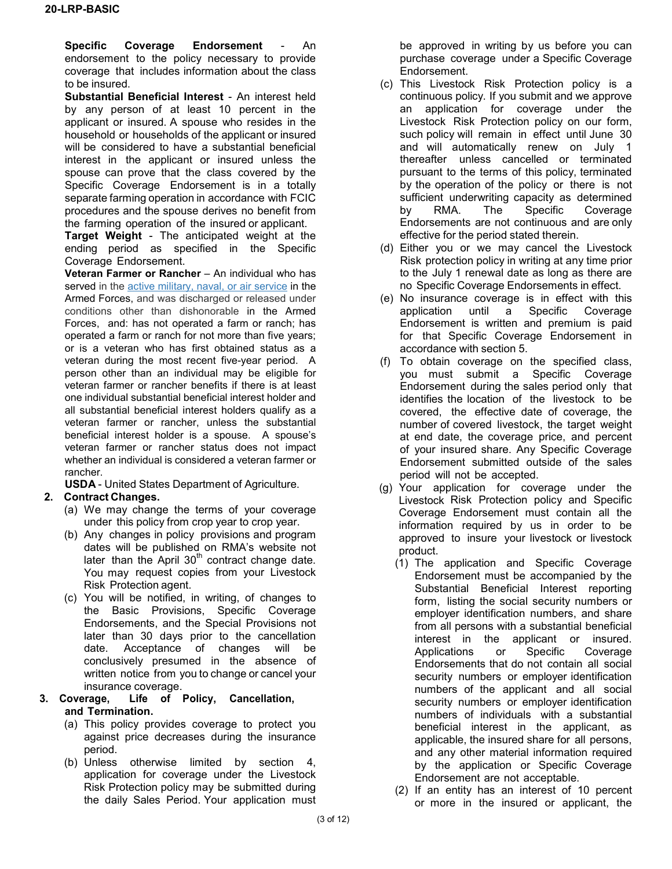**Specific Coverage Endorsement** - An endorsement to the policy necessary to provide coverage that includes information about the class to be insured.

**Substantial Beneficial Interest** - An interest held by any person of at least 10 percent in the applicant or insured. A spouse who resides in the household or households of the applicant or insured will be considered to have a substantial beneficial interest in the applicant or insured unless the spouse can prove that the class covered by the Specific Coverage Endorsement is in a totally separate farming operation in accordance with FCIC procedures and the spouse derives no benefit from the farming operation of the insured or applicant.

**Target Weight** - The anticipated weight at the ending period as specified in the Specific Coverage Endorsement.

**Veteran Farmer or Rancher** – An individual who has served in the [active military, naval, or air service](https://www.law.cornell.edu/definitions/uscode.php?width=840&height=800&iframe=true&def_id=38-USC-1994457193-746307971&term_occur=1&term_src=title:38:part:I:chapter:1:section:101) in the Armed Forces, and was discharged or released under conditions other than dishonorable in the Armed Forces, and: has not operated a farm or ranch; has operated a farm or ranch for not more than five years; or is a veteran who has first obtained status as a veteran during the most recent five-year period. A person other than an individual may be eligible for veteran farmer or rancher benefits if there is at least one individual substantial beneficial interest holder and all substantial beneficial interest holders qualify as a veteran farmer or rancher, unless the substantial beneficial interest holder is a spouse. A spouse's veteran farmer or rancher status does not impact whether an individual is considered a veteran farmer or rancher.

**USDA** - United States Department of Agriculture.

# **2. Contract Changes.**

- (a) We may change the terms of your coverage under this policy from crop year to crop year.
- (b) Any changes in policy provisions and program dates will be published on RMA's website not later than the April  $30<sup>th</sup>$  contract change date. You may request copies from your Livestock Risk Protection agent.
- (c) You will be notified, in writing, of changes to the Basic Provisions, Specific Coverage Endorsements, and the Special Provisions not later than 30 days prior to the cancellation date. Acceptance of changes will be conclusively presumed in the absence of written notice from you to change or cancel your insurance coverage.
- **3. Coverage, Life of Policy, Cancellation, and Termination.**
	- (a) This policy provides coverage to protect you against price decreases during the insurance period.
	- (b) Unless otherwise limited by section 4, application for coverage under the Livestock Risk Protection policy may be submitted during the daily Sales Period. Your application must

be approved in writing by us before you can purchase coverage under a Specific Coverage Endorsement.

- (c) This Livestock Risk Protection policy is a continuous policy. If you submit and we approve an application for coverage under the Livestock Risk Protection policy on our form, such policy will remain in effect until June 30 and will automatically renew on July 1 thereafter unless cancelled or terminated pursuant to the terms of this policy, terminated by the operation of the policy or there is not sufficient underwriting capacity as determined by RMA. The Specific Coverage Endorsements are not continuous and are only effective for the period stated therein.
- (d) Either you or we may cancel the Livestock Risk protection policy in writing at any time prior to the July 1 renewal date as long as there are no Specific Coverage Endorsements in effect.
- (e) No insurance coverage is in effect with this application until a Specific Coverage Endorsement is written and premium is paid for that Specific Coverage Endorsement in accordance with section 5.
- (f) To obtain coverage on the specified class, you must submit a Specific Coverage Endorsement during the sales period only that identifies the location of the livestock to be covered, the effective date of coverage, the number of covered livestock, the target weight at end date, the coverage price, and percent of your insured share. Any Specific Coverage Endorsement submitted outside of the sales period will not be accepted.
- (g) Your application for coverage under the Livestock Risk Protection policy and Specific Coverage Endorsement must contain all the information required by us in order to be approved to insure your livestock or livestock product.
	- (1) The application and Specific Coverage Endorsement must be accompanied by the Substantial Beneficial Interest reporting form, listing the social security numbers or employer identification numbers, and share from all persons with a substantial beneficial interest in the applicant or insured. Applications or Specific Coverage Endorsements that do not contain all social security numbers or employer identification numbers of the applicant and all social security numbers or employer identification numbers of individuals with a substantial beneficial interest in the applicant, as applicable, the insured share for all persons, and any other material information required by the application or Specific Coverage Endorsement are not acceptable.
	- (2) If an entity has an interest of 10 percent or more in the insured or applicant, the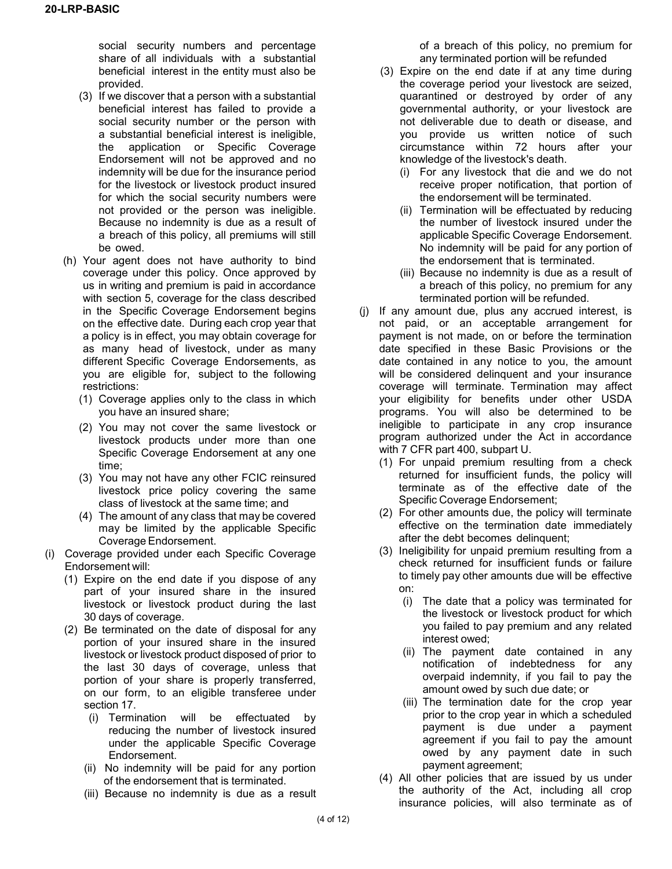social security numbers and percentage share of all individuals with a substantial beneficial interest in the entity must also be provided.

- (3) If we discover that a person with a substantial beneficial interest has failed to provide a social security number or the person with a substantial beneficial interest is ineligible, the application or Specific Coverage Endorsement will not be approved and no indemnity will be due for the insurance period for the livestock or livestock product insured for which the social security numbers were not provided or the person was ineligible. Because no indemnity is due as a result of a breach of this policy, all premiums will still be owed.
- (h) Your agent does not have authority to bind coverage under this policy. Once approved by us in writing and premium is paid in accordance with section 5, coverage for the class described in the Specific Coverage Endorsement begins on the effective date. During each crop year that a policy is in effect, you may obtain coverage for as many head of livestock, under as many different Specific Coverage Endorsements, as you are eligible for, subject to the following restrictions:
	- (1) Coverage applies only to the class in which you have an insured share;
	- (2) You may not cover the same livestock or livestock products under more than one Specific Coverage Endorsement at any one time;
	- (3) You may not have any other FCIC reinsured livestock price policy covering the same class of livestock at the same time; and
	- (4) The amount of any class that may be covered may be limited by the applicable Specific Coverage Endorsement.
- (i) Coverage provided under each Specific Coverage Endorsement will:
	- (1) Expire on the end date if you dispose of any part of your insured share in the insured livestock or livestock product during the last 30 days of coverage.
	- (2) Be terminated on the date of disposal for any portion of your insured share in the insured livestock or livestock product disposed of prior to the last 30 days of coverage, unless that portion of your share is properly transferred, on our form, to an eligible transferee under section 17.
		- (i) Termination will be effectuated by reducing the number of livestock insured under the applicable Specific Coverage Endorsement.
		- (ii) No indemnity will be paid for any portion of the endorsement that is terminated.
		- (iii) Because no indemnity is due as a result

of a breach of this policy, no premium for any terminated portion will be refunded

- (3) Expire on the end date if at any time during the coverage period your livestock are seized, quarantined or destroyed by order of any governmental authority, or your livestock are not deliverable due to death or disease, and you provide us written notice of such circumstance within 72 hours after your knowledge of the livestock's death.
	- (i) For any livestock that die and we do not receive proper notification, that portion of the endorsement will be terminated.
	- (ii) Termination will be effectuated by reducing the number of livestock insured under the applicable Specific Coverage Endorsement. No indemnity will be paid for any portion of the endorsement that is terminated.
	- (iii) Because no indemnity is due as a result of a breach of this policy, no premium for any terminated portion will be refunded.
- (j) If any amount due, plus any accrued interest, is not paid, or an acceptable arrangement for payment is not made, on or before the termination date specified in these Basic Provisions or the date contained in any notice to you, the amount will be considered delinquent and your insurance coverage will terminate. Termination may affect your eligibility for benefits under other USDA programs. You will also be determined to be ineligible to participate in any crop insurance program authorized under the Act in accordance with 7 CFR part 400, subpart U.
	- (1) For unpaid premium resulting from a check returned for insufficient funds, the policy will terminate as of the effective date of the Specific Coverage Endorsement;
	- (2) For other amounts due, the policy will terminate effective on the termination date immediately after the debt becomes delinquent;
	- (3) Ineligibility for unpaid premium resulting from a check returned for insufficient funds or failure to timely pay other amounts due will be effective on:
		- (i) The date that a policy was terminated for the livestock or livestock product for which you failed to pay premium and any related interest owed;
		- (ii) The payment date contained in any notification of indebtedness for any overpaid indemnity, if you fail to pay the amount owed by such due date; or
		- (iii) The termination date for the crop year prior to the crop year in which a scheduled payment is due under a payment agreement if you fail to pay the amount owed by any payment date in such payment agreement;
	- (4) All other policies that are issued by us under the authority of the Act, including all crop insurance policies, will also terminate as of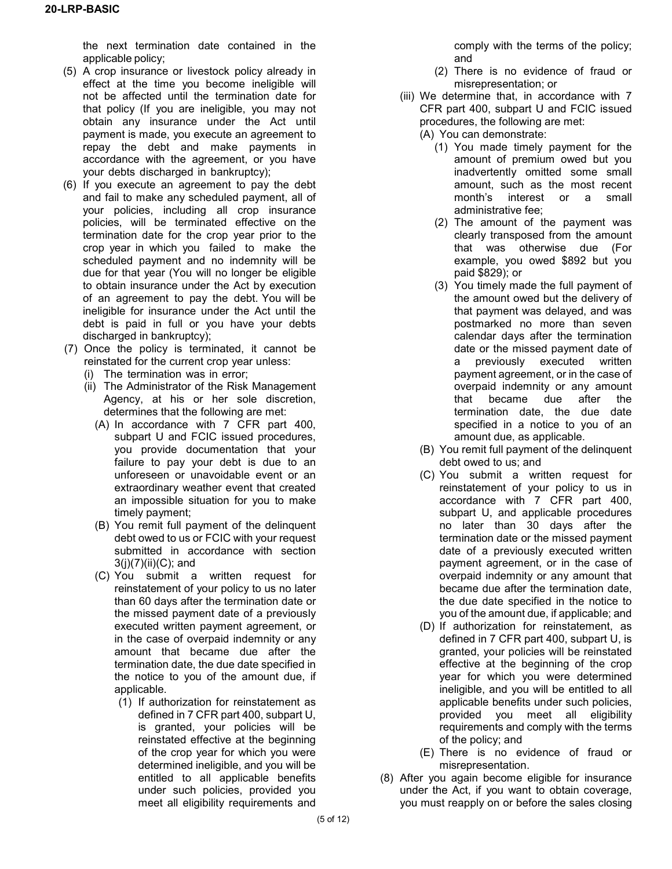the next termination date contained in the applicable policy;

- (5) A crop insurance or livestock policy already in effect at the time you become ineligible will not be affected until the termination date for that policy (If you are ineligible, you may not obtain any insurance under the Act until payment is made, you execute an agreement to repay the debt and make payments in accordance with the agreement, or you have your debts discharged in bankruptcy);
- (6) If you execute an agreement to pay the debt and fail to make any scheduled payment, all of your policies, including all crop insurance policies, will be terminated effective on the termination date for the crop year prior to the crop year in which you failed to make the scheduled payment and no indemnity will be due for that year (You will no longer be eligible to obtain insurance under the Act by execution of an agreement to pay the debt. You will be ineligible for insurance under the Act until the debt is paid in full or you have your debts discharged in bankruptcy);
- (7) Once the policy is terminated, it cannot be reinstated for the current crop year unless:
	- (i) The termination was in error;
	- (ii) The Administrator of the Risk Management Agency, at his or her sole discretion, determines that the following are met:
		- (A) In accordance with 7 CFR part 400, subpart U and FCIC issued procedures, you provide documentation that your failure to pay your debt is due to an unforeseen or unavoidable event or an extraordinary weather event that created an impossible situation for you to make timely payment;
		- (B) You remit full payment of the delinquent debt owed to us or FCIC with your request submitted in accordance with section 3(j)(7)(ii)(C); and
		- (C) You submit a written request for reinstatement of your policy to us no later than 60 days after the termination date or the missed payment date of a previously executed written payment agreement, or in the case of overpaid indemnity or any amount that became due after the termination date, the due date specified in the notice to you of the amount due, if applicable.
			- (1) If authorization for reinstatement as defined in 7 CFR part 400, subpart U, is granted, your policies will be reinstated effective at the beginning of the crop year for which you were determined ineligible, and you will be entitled to all applicable benefits under such policies, provided you meet all eligibility requirements and

comply with the terms of the policy; and

- (2) There is no evidence of fraud or misrepresentation; or
- (iii) We determine that, in accordance with 7 CFR part 400, subpart U and FCIC issued procedures, the following are met:
	- (A) You can demonstrate:
		- (1) You made timely payment for the amount of premium owed but you inadvertently omitted some small amount, such as the most recent month's interest or a small administrative fee;
		- (2) The amount of the payment was clearly transposed from the amount that was otherwise due (For example, you owed \$892 but you paid \$829); or
		- (3) You timely made the full payment of the amount owed but the delivery of that payment was delayed, and was postmarked no more than seven calendar days after the termination date or the missed payment date of a previously executed written payment agreement, or in the case of overpaid indemnity or any amount that became due after the termination date, the due date specified in a notice to you of an amount due, as applicable.
	- (B) You remit full payment of the delinquent debt owed to us; and
	- (C) You submit a written request for reinstatement of your policy to us in accordance with 7 CFR part 400, subpart U, and applicable procedures no later than 30 days after the termination date or the missed payment date of a previously executed written payment agreement, or in the case of overpaid indemnity or any amount that became due after the termination date, the due date specified in the notice to you of the amount due, if applicable; and
	- (D) If authorization for reinstatement, as defined in 7 CFR part 400, subpart U, is granted, your policies will be reinstated effective at the beginning of the crop year for which you were determined ineligible, and you will be entitled to all applicable benefits under such policies, provided you meet all eligibility requirements and comply with the terms of the policy; and
	- (E) There is no evidence of fraud or misrepresentation.
- (8) After you again become eligible for insurance under the Act, if you want to obtain coverage, you must reapply on or before the sales closing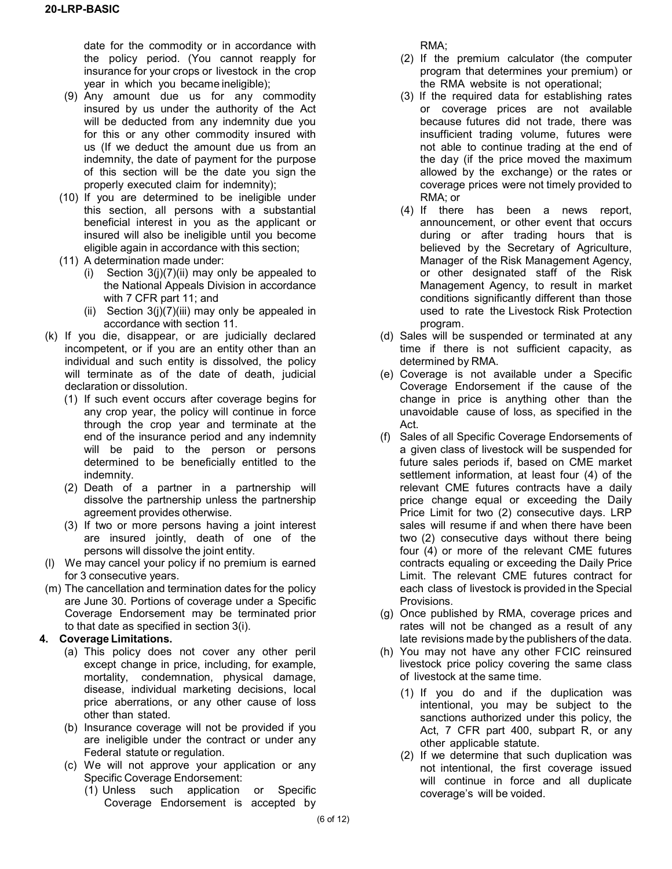date for the commodity or in accordance with the policy period. (You cannot reapply for insurance for your crops or livestock in the crop year in which you became ineligible);

- (9) Any amount due us for any commodity insured by us under the authority of the Act will be deducted from any indemnity due you for this or any other commodity insured with us (If we deduct the amount due us from an indemnity, the date of payment for the purpose of this section will be the date you sign the properly executed claim for indemnity);
- (10) If you are determined to be ineligible under this section, all persons with a substantial beneficial interest in you as the applicant or insured will also be ineligible until you become eligible again in accordance with this section;
- (11) A determination made under:
	- (i) Section  $3(i)(7)(ii)$  may only be appealed to the National Appeals Division in accordance with 7 CFR part 11; and
	- (ii) Section  $3(j)(7)(iii)$  may only be appealed in accordance with section 11.
- (k) If you die, disappear, or are judicially declared incompetent, or if you are an entity other than an individual and such entity is dissolved, the policy will terminate as of the date of death, judicial declaration or dissolution.
	- (1) If such event occurs after coverage begins for any crop year, the policy will continue in force through the crop year and terminate at the end of the insurance period and any indemnity will be paid to the person or persons determined to be beneficially entitled to the indemnity.
	- (2) Death of a partner in a partnership will dissolve the partnership unless the partnership agreement provides otherwise.
	- (3) If two or more persons having a joint interest are insured jointly, death of one of the persons will dissolve the joint entity.
- (l) We may cancel your policy if no premium is earned for 3 consecutive years.
- (m) The cancellation and termination dates for the policy are June 30. Portions of coverage under a Specific Coverage Endorsement may be terminated prior to that date as specified in section 3(i).

## **4. Coverage Limitations.**

- (a) This policy does not cover any other peril except change in price, including, for example, mortality, condemnation, physical damage, disease, individual marketing decisions, local price aberrations, or any other cause of loss other than stated.
- (b) Insurance coverage will not be provided if you are ineligible under the contract or under any Federal statute or regulation.
- (c) We will not approve your application or any Specific Coverage Endorsement:
	- (1) Unless such application or Specific Coverage Endorsement is accepted by

RMA;

- (2) If the premium calculator (the computer program that determines your premium) or the RMA website is not operational;
- (3) If the required data for establishing rates or coverage prices are not available because futures did not trade, there was insufficient trading volume, futures were not able to continue trading at the end of the day (if the price moved the maximum allowed by the exchange) or the rates or coverage prices were not timely provided to RMA; or
- (4) If there has been a news report, announcement, or other event that occurs during or after trading hours that is believed by the Secretary of Agriculture, Manager of the Risk Management Agency, or other designated staff of the Risk Management Agency, to result in market conditions significantly different than those used to rate the Livestock Risk Protection program.
- (d) Sales will be suspended or terminated at any time if there is not sufficient capacity, as determined by RMA.
- (e) Coverage is not available under a Specific Coverage Endorsement if the cause of the change in price is anything other than the unavoidable cause of loss, as specified in the Act.
- (f) Sales of all Specific Coverage Endorsements of a given class of livestock will be suspended for future sales periods if, based on CME market settlement information, at least four (4) of the relevant CME futures contracts have a daily price change equal or exceeding the Daily Price Limit for two (2) consecutive days. LRP sales will resume if and when there have been two (2) consecutive days without there being four (4) or more of the relevant CME futures contracts equaling or exceeding the Daily Price Limit. The relevant CME futures contract for each class of livestock is provided in the Special Provisions.
- (g) Once published by RMA, coverage prices and rates will not be changed as a result of any late revisions made by the publishers of the data.
- (h) You may not have any other FCIC reinsured livestock price policy covering the same class of livestock at the same time.
	- (1) If you do and if the duplication was intentional, you may be subject to the sanctions authorized under this policy, the Act, 7 CFR part 400, subpart R, or any other applicable statute.
	- (2) If we determine that such duplication was not intentional, the first coverage issued will continue in force and all duplicate coverage's will be voided.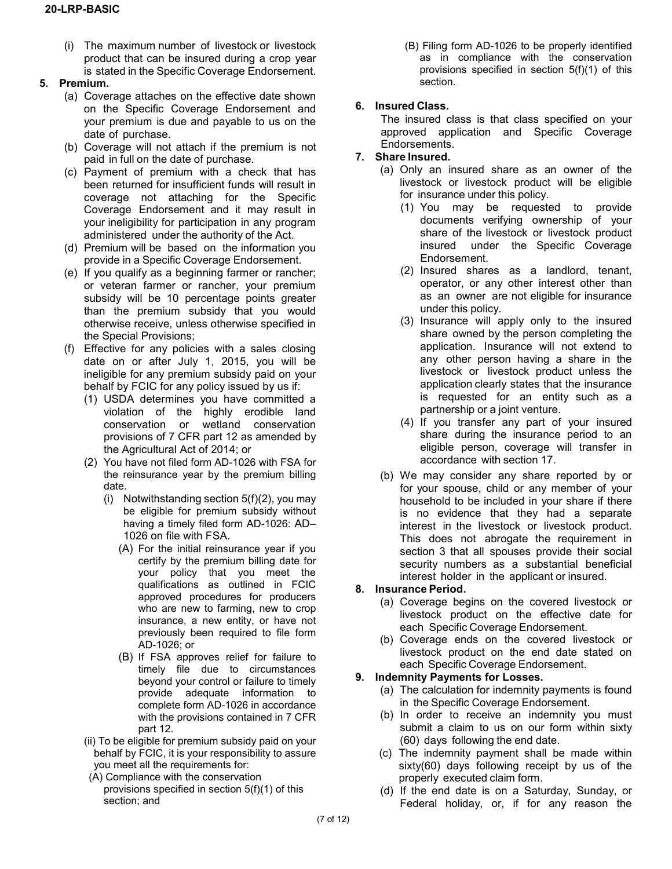(i) The maximum number of livestock or livestock product that can be insured during a crop year is stated in the Specific Coverage Endorsement.

#### **5. Premium.**

- (a) Coverage attaches on the effective date shown on the Specific Coverage Endorsement and your premium is due and payable to us on the date of purchase.
- (b) Coverage will not attach if the premium is not paid in full on the date of purchase.
- (c) Payment of premium with a check that has been returned for insufficient funds will result in coverage not attaching for the Specific Coverage Endorsement and it may result in your ineligibility for participation in any program administered under the authority of the Act.
- (d) Premium will be based on the information you provide in a Specific Coverage Endorsement.
- (e) If you qualify as a beginning farmer or rancher; or veteran farmer or rancher, your premium subsidy will be 10 percentage points greater than the premium subsidy that you would otherwise receive, unless otherwise specified in the Special Provisions;
- (f) Effective for any policies with a sales closing date on or after July 1, 2015, you will be ineligible for any premium subsidy paid on your behalf by FCIC for any policy issued by us if:
	- (1) USDA determines you have committed a violation of the highly erodible land conservation or wetland conservation provisions of 7 CFR part 12 as amended by the Agricultural Act of 2014; or
	- (2) You have not filed form AD-1026 with FSA for the reinsurance year by the premium billing date.
		- (i) Notwithstanding section 5(f)(2), you may be eligible for premium subsidy without having a timely filed form AD-1026: AD– 1026 on file with FSA.
			- (A) For the initial reinsurance year if you certify by the premium billing date for your policy that you meet the qualifications as outlined in FCIC approved procedures for producers who are new to farming, new to crop insurance, a new entity, or have not previously been required to file form AD-1026; or
			- (B) If FSA approves relief for failure to timely file due to circumstances beyond your control or failure to timely provide adequate information to complete form AD-1026 in accordance with the provisions contained in 7 CFR part 12.
	- (ii) To be eligible for premium subsidy paid on your behalf by FCIC, it is your responsibility to assure you meet all the requirements for:
	- (A) Compliance with the conservation provisions specified in section 5(f)(1) of this section; and

(B) Filing form AD-1026 to be properly identified as in compliance with the conservation provisions specified in section 5(f)(1) of this section.

## **6. Insured Class.**

The insured class is that class specified on your approved application and Specific Coverage Endorsements.

## **7. Share Insured.**

- (a) Only an insured share as an owner of the livestock or livestock product will be eligible for insurance under this policy.
	- (1) You may be requested to provide documents verifying ownership of your share of the livestock or livestock product insured under the Specific Coverage Endorsement.
	- (2) Insured shares as a landlord, tenant, operator, or any other interest other than as an owner are not eligible for insurance under this policy.
	- (3) Insurance will apply only to the insured share owned by the person completing the application. Insurance will not extend to any other person having a share in the livestock or livestock product unless the application clearly states that the insurance is requested for an entity such as a partnership or a joint venture.
	- (4) If you transfer any part of your insured share during the insurance period to an eligible person, coverage will transfer in accordance with section 17.
- (b) We may consider any share reported by or for your spouse, child or any member of your household to be included in your share if there is no evidence that they had a separate interest in the livestock or livestock product. This does not abrogate the requirement in section 3 that all spouses provide their social security numbers as a substantial beneficial interest holder in the applicant or insured.

## **8. Insurance Period.**

- (a) Coverage begins on the covered livestock or livestock product on the effective date for each Specific Coverage Endorsement.
- (b) Coverage ends on the covered livestock or livestock product on the end date stated on each Specific Coverage Endorsement.

## **9. Indemnity Payments for Losses.**

- (a) The calculation for indemnity payments is found in the Specific Coverage Endorsement.
- (b) In order to receive an indemnity you must submit a claim to us on our form within sixty (60) days following the end date.
- (c) The indemnity payment shall be made within sixty(60) days following receipt by us of the properly executed claim form.
- (d) If the end date is on a Saturday, Sunday, or Federal holiday, or, if for any reason the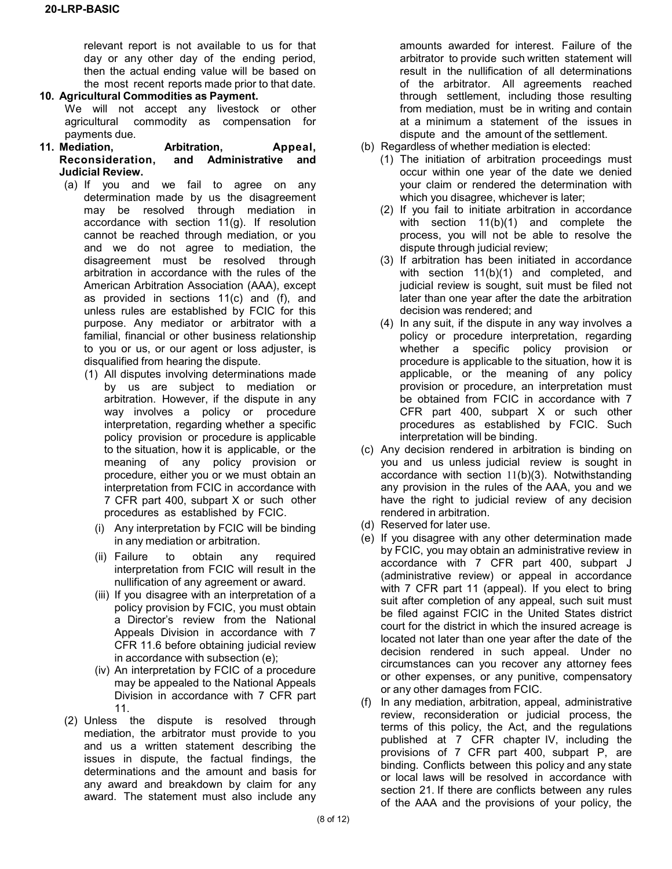relevant report is not available to us for that day or any other day of the ending period, then the actual ending value will be based on the most recent reports made prior to that date.

#### **10. Agricultural Commodities as Payment.**

We will not accept any livestock or other agricultural commodity as compensation for payments due.

- **11. Mediation, Arbitration, Appeal, Reconsideration, and Administrative and Judicial Review.**
	- (a) If you and we fail to agree on any determination made by us the disagreement may be resolved through mediation in accordance with section 11(g). If resolution cannot be reached through mediation, or you and we do not agree to mediation, the disagreement must be resolved through arbitration in accordance with the rules of the American Arbitration Association (AAA), except as provided in sections 11(c) and (f), and unless rules are established by FCIC for this purpose. Any mediator or arbitrator with a familial, financial or other business relationship to you or us, or our agent or loss adjuster, is disqualified from hearing the dispute.
		- (1) All disputes involving determinations made by us are subject to mediation or arbitration. However, if the dispute in any way involves a policy or procedure interpretation, regarding whether a specific policy provision or procedure is applicable to the situation, how it is applicable, or the meaning of any policy provision or procedure, either you or we must obtain an interpretation from FCIC in accordance with 7 CFR part 400, subpart X or such other procedures as established by FCIC.
			- (i) Any interpretation by FCIC will be binding in any mediation or arbitration.
			- (ii) Failure to obtain any required interpretation from FCIC will result in the nullification of any agreement or award.
			- (iii) If you disagree with an interpretation of a policy provision by FCIC, you must obtain a Director's review from the National Appeals Division in accordance with 7 CFR 11.6 before obtaining judicial review in accordance with subsection (e);
			- (iv) An interpretation by FCIC of a procedure may be appealed to the National Appeals Division in accordance with 7 CFR part 11.
	- (2) Unless the dispute is resolved through mediation, the arbitrator must provide to you and us a written statement describing the issues in dispute, the factual findings, the determinations and the amount and basis for any award and breakdown by claim for any award. The statement must also include any

amounts awarded for interest. Failure of the arbitrator to provide such written statement will result in the nullification of all determinations of the arbitrator. All agreements reached through settlement, including those resulting from mediation, must be in writing and contain at a minimum a statement of the issues in dispute and the amount of the settlement.

- (b) Regardless of whether mediation is elected:
	- (1) The initiation of arbitration proceedings must occur within one year of the date we denied your claim or rendered the determination with which you disagree, whichever is later;
	- (2) If you fail to initiate arbitration in accordance with section 11(b)(1) and complete the process, you will not be able to resolve the dispute through judicial review;
	- (3) If arbitration has been initiated in accordance with section 11(b)(1) and completed, and judicial review is sought, suit must be filed not later than one year after the date the arbitration decision was rendered; and
	- (4) In any suit, if the dispute in any way involves a policy or procedure interpretation, regarding whether a specific policy provision or procedure is applicable to the situation, how it is applicable, or the meaning of any policy provision or procedure, an interpretation must be obtained from FCIC in accordance with 7 CFR part 400, subpart X or such other procedures as established by FCIC. Such interpretation will be binding.
- (c) Any decision rendered in arbitration is binding on you and us unless judicial review is sought in accordance with section 11(b)(3). Notwithstanding any provision in the rules of the AAA, you and we have the right to judicial review of any decision rendered in arbitration.
- (d) Reserved for later use.
- (e) If you disagree with any other determination made by FCIC, you may obtain an administrative review in accordance with 7 CFR part 400, subpart J (administrative review) or appeal in accordance with 7 CFR part 11 (appeal). If you elect to bring suit after completion of any appeal, such suit must be filed against FCIC in the United States district court for the district in which the insured acreage is located not later than one year after the date of the decision rendered in such appeal. Under no circumstances can you recover any attorney fees or other expenses, or any punitive, compensatory or any other damages from FCIC.
- (f) In any mediation, arbitration, appeal, administrative review, reconsideration or judicial process, the terms of this policy, the Act, and the regulations published at 7 CFR chapter IV, including the provisions of 7 CFR part 400, subpart P, are binding. Conflicts between this policy and any state or local laws will be resolved in accordance with section 21. If there are conflicts between any rules of the AAA and the provisions of your policy, the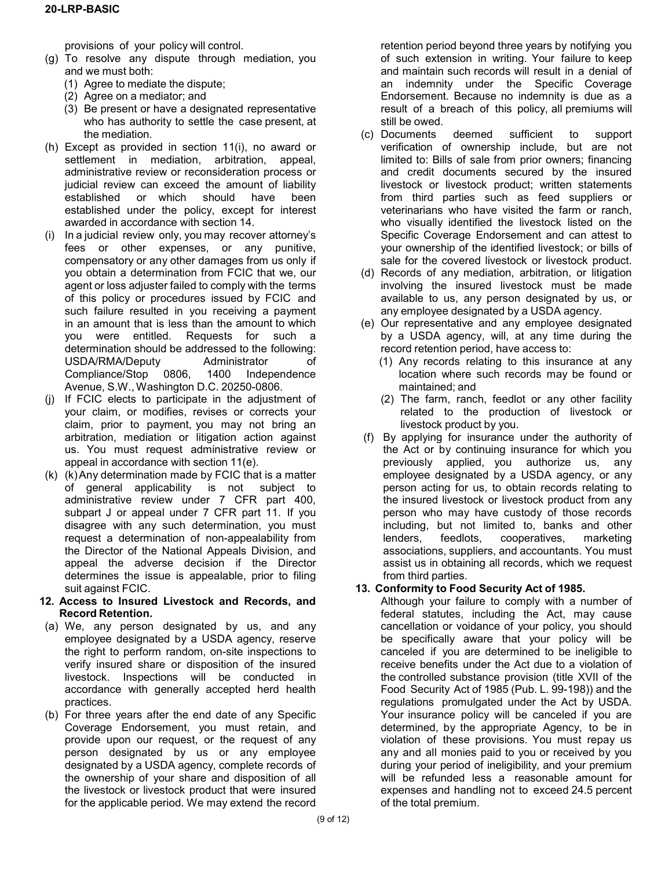provisions of your policy will control.

- (g) To resolve any dispute through mediation, you and we must both:
	- (1) Agree to mediate the dispute;
	- (2) Agree on a mediator; and
	- (3) Be present or have a designated representative who has authority to settle the case present, at the mediation.
- (h) Except as provided in section 11(i), no award or settlement in mediation, arbitration, appeal, administrative review or reconsideration process or judicial review can exceed the amount of liability established or which should have been established under the policy, except for interest awarded in accordance with section 14.
- (i) In a judicial review only, you may recover attorney's fees or other expenses, or any punitive, compensatory or any other damages from us only if you obtain a determination from FCIC that we, our agent or loss adjuster failed to comply with the terms of this policy or procedures issued by FCIC and such failure resulted in you receiving a payment in an amount that is less than the amount to which you were entitled. Requests for such a determination should be addressed to the following: USDA/RMA/Deputy Administrator of<br>Compliance/Stop 0806, 1400 Independence Compliance/Stop 0806, 1400 Avenue, S.W., Washington D.C. 20250-0806.
- (j) If FCIC elects to participate in the adjustment of your claim, or modifies, revises or corrects your claim, prior to payment, you may not bring an arbitration, mediation or litigation action against us. You must request administrative review or appeal in accordance with section 11(e).
- $(k)$   $(k)$  Any determination made by FCIC that is a matter of general applicability is not subject to administrative review under 7 CFR part 400, subpart J or appeal under 7 CFR part 11. If you disagree with any such determination, you must request a determination of non-appealability from the Director of the National Appeals Division, and appeal the adverse decision if the Director determines the issue is appealable, prior to filing suit against FCIC.
- **12. Access to Insured Livestock and Records, and Record Retention.**
- (a) We, any person designated by us, and any employee designated by a USDA agency, reserve the right to perform random, on-site inspections to verify insured share or disposition of the insured livestock. Inspections will be conducted in accordance with generally accepted herd health practices.
- (b) For three years after the end date of any Specific Coverage Endorsement, you must retain, and provide upon our request, or the request of any person designated by us or any employee designated by a USDA agency, complete records of the ownership of your share and disposition of all the livestock or livestock product that were insured for the applicable period. We may extend the record

retention period beyond three years by notifying you of such extension in writing. Your failure to keep and maintain such records will result in a denial of an indemnity under the Specific Coverage Endorsement. Because no indemnity is due as a result of a breach of this policy, all premiums will still be owed.

- (c) Documents deemed sufficient to support verification of ownership include, but are not limited to: Bills of sale from prior owners; financing and credit documents secured by the insured livestock or livestock product; written statements from third parties such as feed suppliers or veterinarians who have visited the farm or ranch, who visually identified the livestock listed on the Specific Coverage Endorsement and can attest to your ownership of the identified livestock; or bills of sale for the covered livestock or livestock product.
- (d) Records of any mediation, arbitration, or litigation involving the insured livestock must be made available to us, any person designated by us, or any employee designated by a USDA agency.
- (e) Our representative and any employee designated by a USDA agency, will, at any time during the record retention period, have access to:
	- (1) Any records relating to this insurance at any location where such records may be found or maintained; and
	- (2) The farm, ranch, feedlot or any other facility related to the production of livestock or livestock product by you.
- (f) By applying for insurance under the authority of the Act or by continuing insurance for which you previously applied, you authorize us, any employee designated by a USDA agency, or any person acting for us, to obtain records relating to the insured livestock or livestock product from any person who may have custody of those records including, but not limited to, banks and other<br>lenders, feedlots, cooperatives, marketing lenders, feedlots, cooperatives, marketing associations, suppliers, and accountants. You must assist us in obtaining all records, which we request from third parties.

## **13. Conformity to Food Security Act of 1985.**

Although your failure to comply with a number of federal statutes, including the Act, may cause cancellation or voidance of your policy, you should be specifically aware that your policy will be canceled if you are determined to be ineligible to receive benefits under the Act due to a violation of the controlled substance provision (title XVII of the Food Security Act of 1985 (Pub. L. 99-198)) and the regulations promulgated under the Act by USDA. Your insurance policy will be canceled if you are determined, by the appropriate Agency, to be in violation of these provisions. You must repay us any and all monies paid to you or received by you during your period of ineligibility, and your premium will be refunded less a reasonable amount for expenses and handling not to exceed 24.5 percent of the total premium.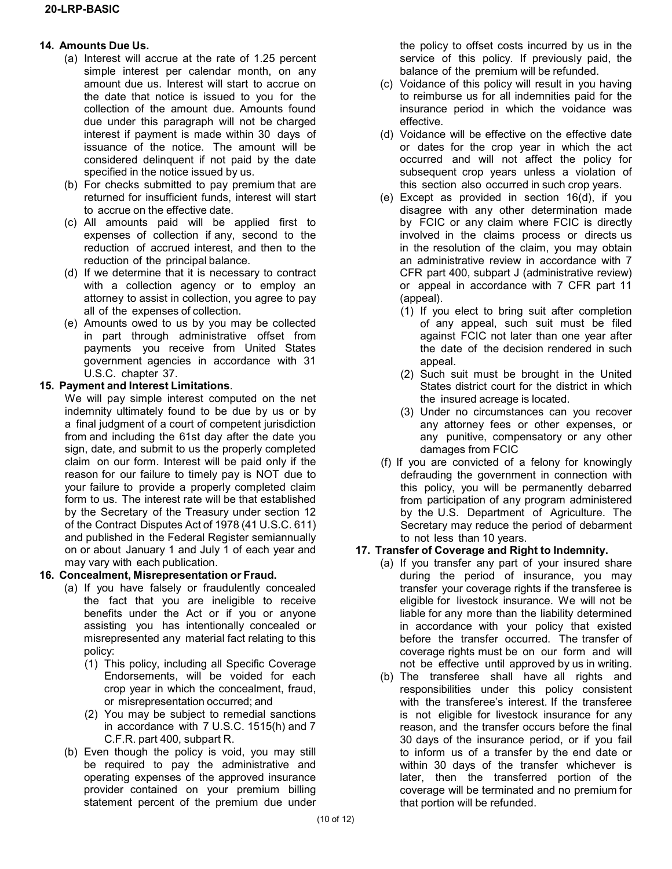#### **14. Amounts Due Us.**

- (a) Interest will accrue at the rate of 1.25 percent simple interest per calendar month, on any amount due us. Interest will start to accrue on the date that notice is issued to you for the collection of the amount due. Amounts found due under this paragraph will not be charged interest if payment is made within 30 days of issuance of the notice. The amount will be considered delinquent if not paid by the date specified in the notice issued by us.
- (b) For checks submitted to pay premium that are returned for insufficient funds, interest will start to accrue on the effective date.
- (c) All amounts paid will be applied first to expenses of collection if any, second to the reduction of accrued interest, and then to the reduction of the principal balance.
- (d) If we determine that it is necessary to contract with a collection agency or to employ an attorney to assist in collection, you agree to pay all of the expenses of collection.
- (e) Amounts owed to us by you may be collected in part through administrative offset from payments you receive from United States government agencies in accordance with 31 U.S.C. chapter 37.

# **15. Payment and Interest Limitations**.

We will pay simple interest computed on the net indemnity ultimately found to be due by us or by a final judgment of a court of competent jurisdiction from and including the 61st day after the date you sign, date, and submit to us the properly completed claim on our form. Interest will be paid only if the reason for our failure to timely pay is NOT due to your failure to provide a properly completed claim form to us. The interest rate will be that established by the Secretary of the Treasury under section 12 of the Contract Disputes Act of 1978 (41 U.S.C. 611) and published in the Federal Register semiannually on or about January 1 and July 1 of each year and may vary with each publication.

## **16. Concealment, Misrepresentation or Fraud.**

- (a) If you have falsely or fraudulently concealed the fact that you are ineligible to receive benefits under the Act or if you or anyone assisting you has intentionally concealed or misrepresented any material fact relating to this policy:
	- (1) This policy, including all Specific Coverage Endorsements, will be voided for each crop year in which the concealment, fraud, or misrepresentation occurred; and
	- (2) You may be subject to remedial sanctions in accordance with 7 U.S.C. 1515(h) and 7 C.F.R. part 400, subpart R.
- (b) Even though the policy is void, you may still be required to pay the administrative and operating expenses of the approved insurance provider contained on your premium billing statement percent of the premium due under

the policy to offset costs incurred by us in the service of this policy. If previously paid, the balance of the premium will be refunded.

- (c) Voidance of this policy will result in you having to reimburse us for all indemnities paid for the insurance period in which the voidance was effective.
- (d) Voidance will be effective on the effective date or dates for the crop year in which the act occurred and will not affect the policy for subsequent crop years unless a violation of this section also occurred in such crop years.
- (e) Except as provided in section 16(d), if you disagree with any other determination made by FCIC or any claim where FCIC is directly involved in the claims process or directs us in the resolution of the claim, you may obtain an administrative review in accordance with 7 CFR part 400, subpart J (administrative review) or appeal in accordance with 7 CFR part 11 (appeal).
	- (1) If you elect to bring suit after completion of any appeal, such suit must be filed against FCIC not later than one year after the date of the decision rendered in such appeal.
	- (2) Such suit must be brought in the United States district court for the district in which the insured acreage is located.
	- (3) Under no circumstances can you recover any attorney fees or other expenses, or any punitive, compensatory or any other damages from FCIC
- (f) If you are convicted of a felony for knowingly defrauding the government in connection with this policy, you will be permanently debarred from participation of any program administered by the U.S. Department of Agriculture. The Secretary may reduce the period of debarment to not less than 10 years.

# **17. Transfer of Coverage and Right to Indemnity.**

- (a) If you transfer any part of your insured share during the period of insurance, you may transfer your coverage rights if the transferee is eligible for livestock insurance. We will not be liable for any more than the liability determined in accordance with your policy that existed before the transfer occurred. The transfer of coverage rights must be on our form and will not be effective until approved by us in writing.
- (b) The transferee shall have all rights and responsibilities under this policy consistent with the transferee's interest. If the transferee is not eligible for livestock insurance for any reason, and the transfer occurs before the final 30 days of the insurance period, or if you fail to inform us of a transfer by the end date or within 30 days of the transfer whichever is later, then the transferred portion of the coverage will be terminated and no premium for that portion will be refunded.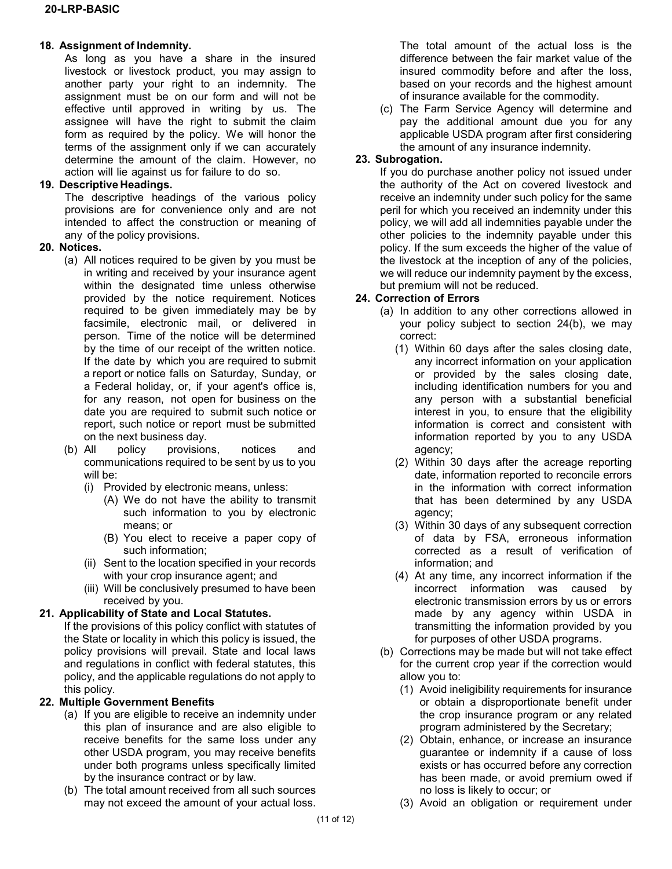#### **18. Assignment of Indemnity.**

As long as you have a share in the insured livestock or livestock product, you may assign to another party your right to an indemnity. The assignment must be on our form and will not be effective until approved in writing by us. The assignee will have the right to submit the claim form as required by the policy. We will honor the terms of the assignment only if we can accurately determine the amount of the claim. However, no action will lie against us for failure to do so.

## **19. Descriptive Headings.**

The descriptive headings of the various policy provisions are for convenience only and are not intended to affect the construction or meaning of any of the policy provisions.

## **20. Notices.**

- (a) All notices required to be given by you must be in writing and received by your insurance agent within the designated time unless otherwise provided by the notice requirement. Notices required to be given immediately may be by facsimile, electronic mail, or delivered in person. Time of the notice will be determined by the time of our receipt of the written notice. If the date by which you are required to submit a report or notice falls on Saturday, Sunday, or a Federal holiday, or, if your agent's office is, for any reason, not open for business on the date you are required to submit such notice or report, such notice or report must be submitted on the next business day.
- (b) All policy provisions, notices and communications required to be sent by us to you will be:
	- (i) Provided by electronic means, unless:
		- (A) We do not have the ability to transmit such information to you by electronic means; or
		- (B) You elect to receive a paper copy of such information;
	- (ii) Sent to the location specified in your records with your crop insurance agent; and
	- (iii) Will be conclusively presumed to have been received by you.

## **21. Applicability of State and Local Statutes.**

If the provisions of this policy conflict with statutes of the State or locality in which this policy is issued, the policy provisions will prevail. State and local laws and regulations in conflict with federal statutes, this policy, and the applicable regulations do not apply to this policy.

# **22. Multiple Government Benefits**

- (a) If you are eligible to receive an indemnity under this plan of insurance and are also eligible to receive benefits for the same loss under any other USDA program, you may receive benefits under both programs unless specifically limited by the insurance contract or by law.
- (b) The total amount received from all such sources may not exceed the amount of your actual loss.

The total amount of the actual loss is the difference between the fair market value of the insured commodity before and after the loss, based on your records and the highest amount of insurance available for the commodity.

(c) The Farm Service Agency will determine and pay the additional amount due you for any applicable USDA program after first considering the amount of any insurance indemnity.

## **23. Subrogation.**

If you do purchase another policy not issued under the authority of the Act on covered livestock and receive an indemnity under such policy for the same peril for which you received an indemnity under this policy, we will add all indemnities payable under the other policies to the indemnity payable under this policy. If the sum exceeds the higher of the value of the livestock at the inception of any of the policies, we will reduce our indemnity payment by the excess, but premium will not be reduced.

## **24. Correction of Errors**

- (a) In addition to any other corrections allowed in your policy subject to section 24(b), we may correct:
	- (1) Within 60 days after the sales closing date, any incorrect information on your application or provided by the sales closing date, including identification numbers for you and any person with a substantial beneficial interest in you, to ensure that the eligibility information is correct and consistent with information reported by you to any USDA agency;
	- (2) Within 30 days after the acreage reporting date, information reported to reconcile errors in the information with correct information that has been determined by any USDA agency;
	- (3) Within 30 days of any subsequent correction of data by FSA, erroneous information corrected as a result of verification of information; and
	- (4) At any time, any incorrect information if the incorrect information was caused by electronic transmission errors by us or errors made by any agency within USDA in transmitting the information provided by you for purposes of other USDA programs.
- (b) Corrections may be made but will not take effect for the current crop year if the correction would allow you to:
	- (1) Avoid ineligibility requirements for insurance or obtain a disproportionate benefit under the crop insurance program or any related program administered by the Secretary;
	- (2) Obtain, enhance, or increase an insurance guarantee or indemnity if a cause of loss exists or has occurred before any correction has been made, or avoid premium owed if no loss is likely to occur; or
	- (3) Avoid an obligation or requirement under